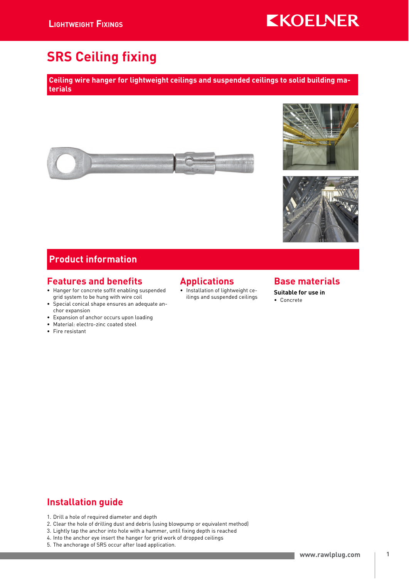# **KKOELNER**

# SRS Ceiling fixing

Ceiling wire hanger for lightweight ceilings and suspended ceilings to solid building materials







### Product information

#### Features and benefits

- Hanger for concrete soffit enabling suspended grid system to be hung with wire coil
- Special conical shape ensures an adequate anchor expansion
- Expansion of anchor occurs upon loading
- Material: electro-zinc coated steel
- Fire resistant

### Applications

• Installation of lightweight ceilings and suspended ceilings

#### Base materials

Suitable for use in • Concrete

# Installation guide

- 1. Drill a hole of required diameter and depth
- 2. Clear the hole of drilling dust and debris (using blowpump or equivalent method)
- 3. Lightly tap the anchor into hole with a hammer, until fixing depth is reached
- 4. Into the anchor eye insert the hanger for grid work of dropped ceilings
- 5. The anchorage of SRS occur after load application.